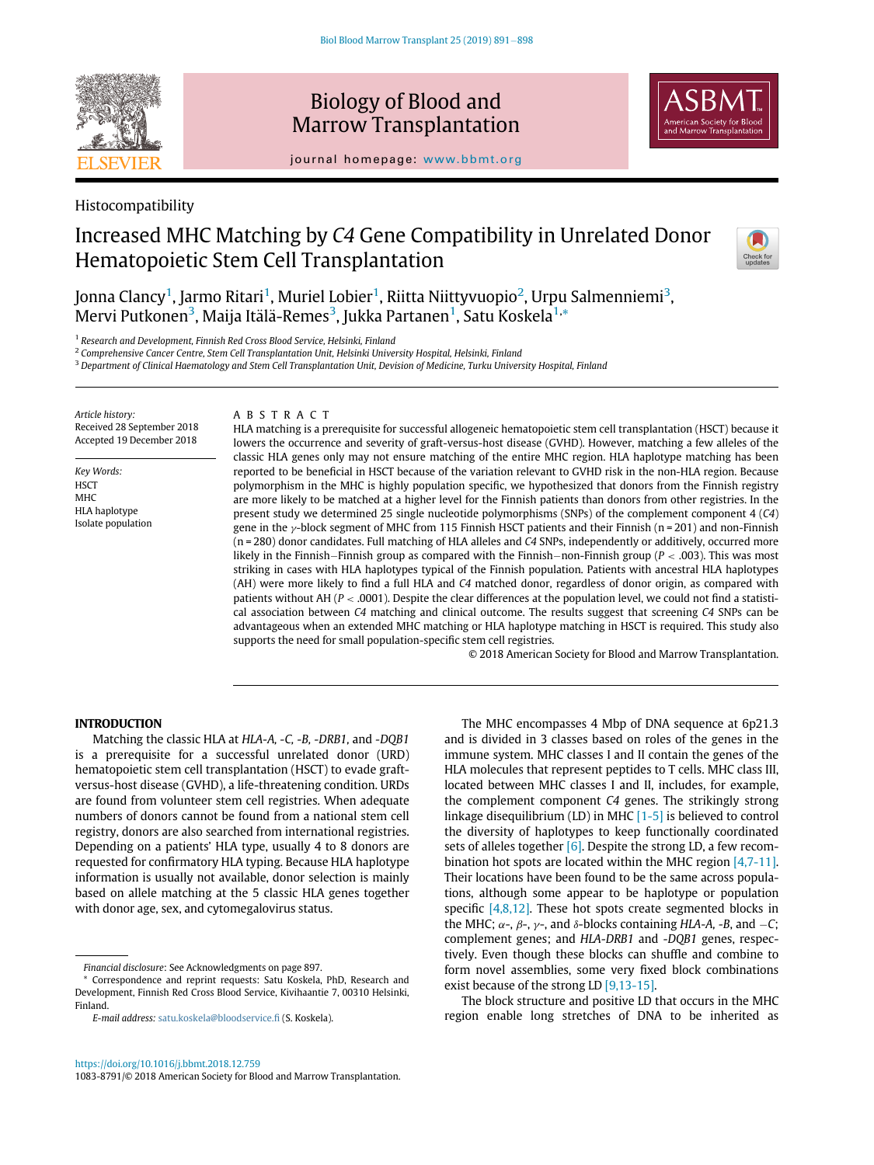

# Biology of Blood and Marrow Transplantation



journal homepage: [www.bbmt.org](http://www.bbmt.org)

# Histocompatibility

# Increased MHC Matching by C4 Gene Compatibility in Unrelated Donor Hematopoietic Stem Cell Transplantation



Jonna Clancy<sup>[1](#page-0-0)</sup>, Jarmo Ritari<sup>1</sup>, Muriel Lobier<sup>1</sup>, Riitta Niittyvuopio<sup>[2](#page-0-1)</sup>, Urpu Salmenniemi<sup>[3](#page-0-2)</sup>,  $\rm{Mervi}$  Putkonen $^3$  $^3$ , Maija Itälä-Remes $^3$ , Jukka Partanen $^1$  $^1$ , Satu Koskela $^{\rm{1,*}}$  $^{\rm{1,*}}$  $^{\rm{1,*}}$ 

<span id="page-0-0"></span><sup>1</sup> Research and Development, Finnish Red Cross Blood Service, Helsinki, Finland

<span id="page-0-2"></span><span id="page-0-1"></span><sup>2</sup> Comprehensive Cancer Centre, Stem Cell Transplantation Unit, Helsinki University Hospital, Helsinki, Finland

<sup>3</sup> Department of Clinical Haematology and Stem Cell Transplantation Unit, Devision of Medicine, Turku University Hospital, Finland

Article history: Received 28 September 2018 Accepted 19 December 2018

Key Words: **HSCT MHC** HLA haplotype Isolate population

## ABSTRACT

HLA matching is a prerequisite for successful allogeneic hematopoietic stem cell transplantation (HSCT) because it lowers the occurrence and severity of graft-versus-host disease (GVHD). However, matching a few alleles of the classic HLA genes only may not ensure matching of the entire MHC region. HLA haplotype matching has been reported to be beneficial in HSCT because of the variation relevant to GVHD risk in the non-HLA region. Because polymorphism in the MHC is highly population specific, we hypothesized that donors from the Finnish registry are more likely to be matched at a higher level for the Finnish patients than donors from other registries. In the present study we determined 25 single nucleotide polymorphisms (SNPs) of the complement component 4 (C4) gene in the y-block segment of MHC from 115 Finnish HSCT patients and their Finnish (n = 201) and non-Finnish (n = 280) donor candidates. Full matching of HLA alleles and C4 SNPs, independently or additively, occurred more likely in the Finnish–Finnish group as compared with the Finnish–non-Finnish group ( $P < .003$ ). This was most striking in cases with HLA haplotypes typical of the Finnish population. Patients with ancestral HLA haplotypes (AH) were more likely to find a full HLA and C4 matched donor, regardless of donor origin, as compared with patients without AH ( $P < .0001$ ). Despite the clear differences at the population level, we could not find a statistical association between C4 matching and clinical outcome. The results suggest that screening C4 SNPs can be advantageous when an extended MHC matching or HLA haplotype matching in HSCT is required. This study also supports the need for small population-specific stem cell registries.

© 2018 American Society for Blood and Marrow Transplantation.

The MHC encompasses 4 Mbp of DNA sequence at 6p21.3

## INTRODUCTION

Matching the classic HLA at HLA-A, -C, -B, -DRB1, and -DQB1 is a prerequisite for a successful unrelated donor (URD) hematopoietic stem cell transplantation (HSCT) to evade graftversus-host disease (GVHD), a life-threatening condition. URDs are found from volunteer stem cell registries. When adequate numbers of donors cannot be found from a national stem cell registry, donors are also searched from international registries. Depending on a patients' HLA type, usually 4 to 8 donors are requested for confirmatory HLA typing. Because HLA haplotype information is usually not available, donor selection is mainly based on allele matching at the 5 classic HLA genes together with donor age, sex, and cytomegalovirus status.

and is divided in 3 classes based on roles of the genes in the immune system. MHC classes I and II contain the genes of the HLA molecules that represent peptides to T cells. MHC class III, located between MHC classes I and II, includes, for example, the complement component C4 genes. The strikingly strong linkage disequilibrium (LD) in MHC [\[1-5\]](#page-6-0) is believed to control the diversity of haplotypes to keep functionally coordinated sets of alleles together  $[6]$ . Despite the strong LD, a few recombination hot spots are located within the MHC region [\[4,7-11\]](#page-6-2). Their locations have been found to be the same across populations, although some appear to be haplotype or population specific [\[4,8,12\].](#page-6-2) These hot spots create segmented blocks in the MHC;  $\alpha$ -,  $\beta$ -,  $\gamma$ -, and  $\delta$ -blocks containing HLA-A, -B, and -C; complement genes; and HLA-DRB1 and -DQB1 genes, respectively. Even though these blocks can shuffle and combine to form novel assemblies, some very fixed block combinations exist because of the strong LD [\[9,13-15\].](#page-6-3)

The block structure and positive LD that occurs in the MHC region enable long stretches of DNA to be inherited as

Financial disclosure: See Acknowledgments on page 897.

<span id="page-0-3"></span>Correspondence and reprint requests: Satu Koskela, PhD, Research and Development, Finnish Red Cross Blood Service, Kivihaantie 7, 00310 Helsinki, Finland.

E-mail address: [satu.koskela@bloodservice.](mailto:satu.koskela@bloodservice.fi)fi (S. Koskela).

<https://doi.org/10.1016/j.bbmt.2018.12.759> 1083-8791/© 2018 American Society for Blood and Marrow Transplantation.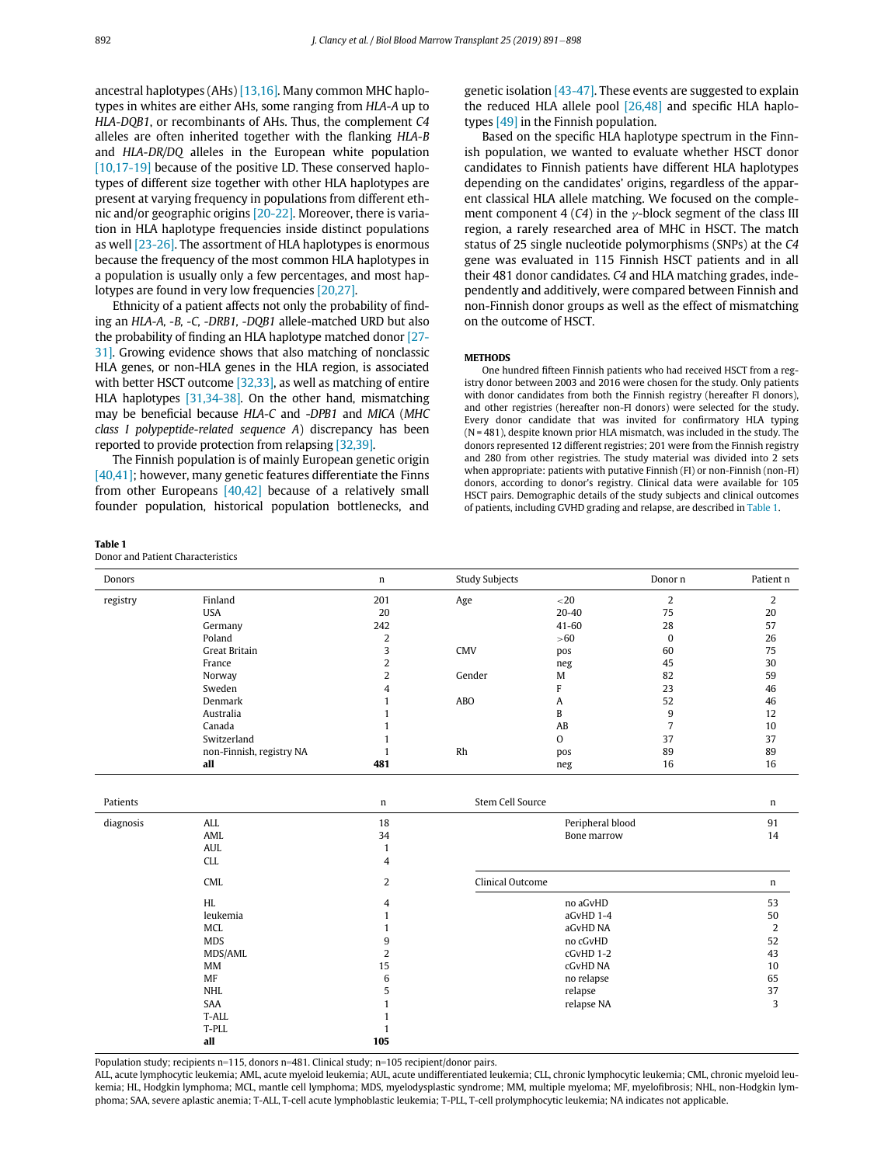ancestral haplotypes (AHs) [\[13,16\].](#page-6-4) Many common MHC haplotypes in whites are either AHs, some ranging from HLA-A up to HLA-DQB1, or recombinants of AHs. Thus, the complement C4 alleles are often inherited together with the flanking HLA-B and HLA-DR/DQ alleles in the European white population [\[10,17-19\]](#page-6-5) because of the positive LD. These conserved haplotypes of different size together with other HLA haplotypes are present at varying frequency in populations from different ethnic and/or geographic origins [\[20-22\]](#page-6-6). Moreover, there is variation in HLA haplotype frequencies inside distinct populations as well [\[23-26\].](#page-6-7) The assortment of HLA haplotypes is enormous because the frequency of the most common HLA haplotypes in a population is usually only a few percentages, and most haplotypes are found in very low frequencies [\[20,27\]](#page-6-6).

Ethnicity of a patient affects not only the probability of finding an HLA-A, -B, -C, -DRB1, -DQB1 allele-matched URD but also the probability of finding an HLA haplotype matched donor [\[27-](#page-6-8) [31\]](#page-6-8). Growing evidence shows that also matching of nonclassic HLA genes, or non-HLA genes in the HLA region, is associated with better HSCT outcome [\[32,33\],](#page-6-9) as well as matching of entire HLA haplotypes [\[31,34-38\]](#page-6-10). On the other hand, mismatching may be beneficial because HLA-C and -DPB1 and MICA (MHC class I polypeptide-related sequence A) discrepancy has been reported to provide protection from relapsing [\[32,39\]](#page-6-9).

The Finnish population is of mainly European genetic origin [\[40,41\]](#page-6-11); however, many genetic features differentiate the Finns from other Europeans [\[40,42\]](#page-6-11) because of a relatively small founder population, historical population bottlenecks, and

<span id="page-1-0"></span>Table 1

|  | Donor and Patient Characteristics |
|--|-----------------------------------|
|--|-----------------------------------|

genetic isolation [\[43-47\].](#page-6-12) These events are suggested to explain the reduced HLA allele pool [\[26,48\]](#page-6-13) and specific HLA haplotypes [\[49\]](#page-7-0) in the Finnish population.

Based on the specific HLA haplotype spectrum in the Finnish population, we wanted to evaluate whether HSCT donor candidates to Finnish patients have different HLA haplotypes depending on the candidates' origins, regardless of the apparent classical HLA allele matching. We focused on the complement component 4 (C4) in the  $\gamma$ -block segment of the class III region, a rarely researched area of MHC in HSCT. The match status of 25 single nucleotide polymorphisms (SNPs) at the C4 gene was evaluated in 115 Finnish HSCT patients and in all their 481 donor candidates. C4 and HLA matching grades, independently and additively, were compared between Finnish and non-Finnish donor groups as well as the effect of mismatching on the outcome of HSCT.

### **METHODS**

One hundred fifteen Finnish patients who had received HSCT from a registry donor between 2003 and 2016 were chosen for the study. Only patients with donor candidates from both the Finnish registry (hereafter FI donors), and other registries (hereafter non-FI donors) were selected for the study. Every donor candidate that was invited for confirmatory HLA typing (N = 481), despite known prior HLA mismatch, was included in the study. The donors represented 12 different registries; 201 were from the Finnish registry and 280 from other registries. The study material was divided into 2 sets when appropriate: patients with putative Finnish (FI) or non-Finnish (non-FI) donors, according to donor's registry. Clinical data were available for 105 HSCT pairs. Demographic details of the study subjects and clinical outcomes of patients, including GVHD grading and relapse, are described in [Table 1.](#page-1-0)

| Donors   |                          | n   | <b>Study Subjects</b> |           | Donor n  | Patient n |
|----------|--------------------------|-----|-----------------------|-----------|----------|-----------|
| registry | Finland                  | 201 | Age                   | $<$ 20    |          |           |
|          | <b>USA</b>               | 20  |                       | $20 - 40$ | 75       | 20        |
|          | Germany                  | 242 |                       | $41 - 60$ | 28       | 57        |
|          | Poland                   | h   |                       | >60       | $\Omega$ | 26        |
|          | Great Britain            |     | <b>CMV</b>            | pos       | 60       | 75        |
|          | France                   |     |                       | neg       | 45       | 30        |
|          | Norway                   |     | Gender                | M         | 82       | 59        |
|          | Sweden                   | 4   |                       |           | 23       | 46        |
|          | Denmark                  |     | ABO                   | A         | 52       | 46        |
|          | Australia                |     |                       | B         | q        | 12        |
|          | Canada                   |     |                       | AB        |          | 10        |
|          | Switzerland              |     |                       | $\circ$   | 37       | 37        |
|          | non-Finnish, registry NA |     | Rh                    | pos       | 89       | 89        |
|          | all                      | 481 |                       | neg       | 16       | 16        |

| Patients  |                                 | n             | Stem Cell Source                | n        |
|-----------|---------------------------------|---------------|---------------------------------|----------|
| diagnosis | ALL<br>AML<br><b>AUL</b><br>CLL | 18<br>34<br>4 | Peripheral blood<br>Bone marrow | 91<br>14 |
|           | CML                             | 2             | Clinical Outcome                | n        |
|           | HL                              | 4             | no aGvHD                        | 53       |
|           | leukemia                        |               | aGvHD 1-4                       | 50       |
|           | MCL                             |               | aGvHD NA                        | 2        |
|           | <b>MDS</b>                      | 9             | no cGvHD                        | 52       |
|           | MDS/AML                         | 2             | cGvHD 1-2                       | 43       |
|           | MM                              | 15            | cGvHD NA                        | 10       |
|           | <b>MF</b>                       | 6             | no relapse                      | 65       |
|           | NHL                             | 5             | relapse                         | 37       |
|           | SAA                             |               | relapse NA                      | 3        |
|           | T-ALL                           |               |                                 |          |
|           | T-PLL                           |               |                                 |          |
|           | all                             | 105           |                                 |          |

Population study; recipients n=115, donors n=481. Clinical study; n=105 recipient/donor pairs.

ALL, acute lymphocytic leukemia; AML, acute myeloid leukemia; AUL, acute undifferentiated leukemia; CLL, chronic lymphocytic leukemia; CML, chronic myeloid leukemia; HL, Hodgkin lymphoma; MCL, mantle cell lymphoma; MDS, myelodysplastic syndrome; MM, multiple myeloma; MF, myelofibrosis; NHL, non-Hodgkin lymphoma; SAA, severe aplastic anemia; T-ALL, T-cell acute lymphoblastic leukemia; T-PLL, T-cell prolymphocytic leukemia; NA indicates not applicable.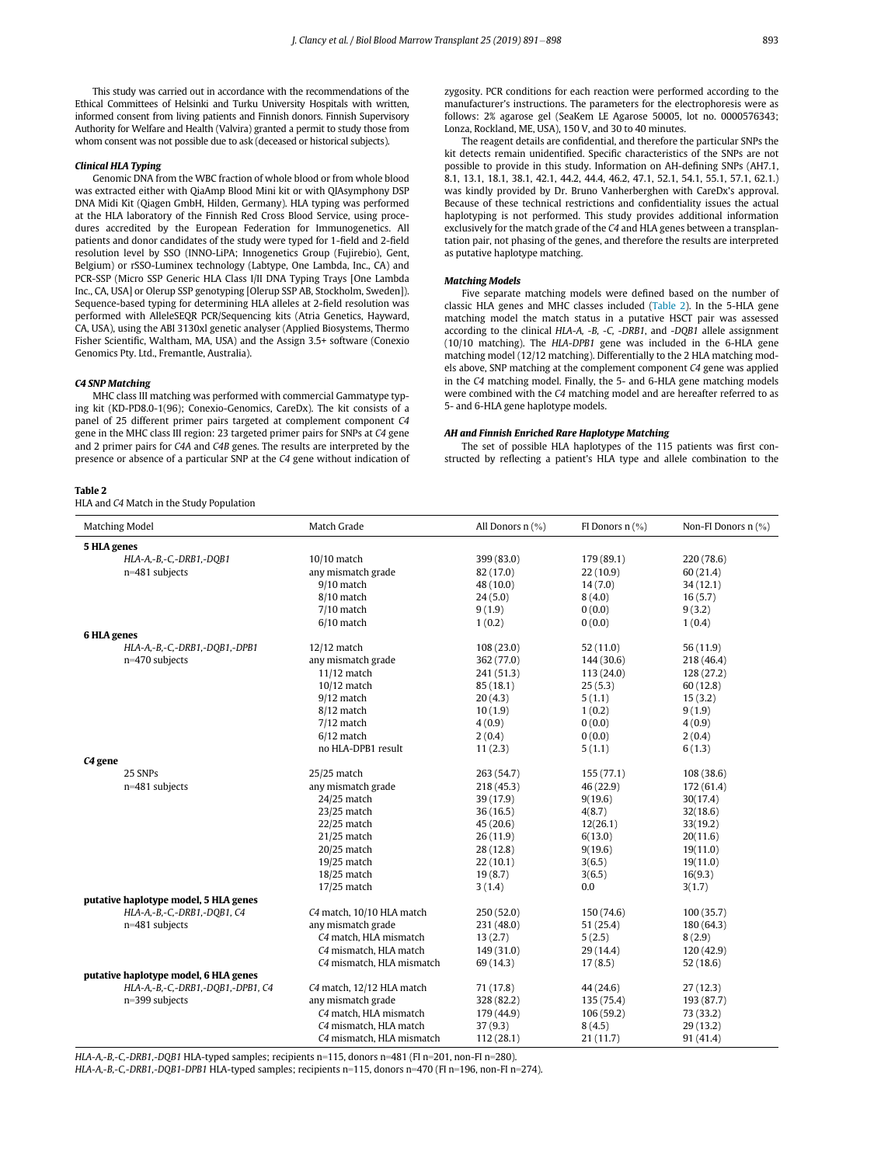This study was carried out in accordance with the recommendations of the Ethical Committees of Helsinki and Turku University Hospitals with written, informed consent from living patients and Finnish donors. Finnish Supervisory Authority for Welfare and Health (Valvira) granted a permit to study those from whom consent was not possible due to ask (deceased or historical subjects).

## Clinical HLA Typing

Genomic DNA from the WBC fraction of whole blood or from whole blood was extracted either with QiaAmp Blood Mini kit or with QIAsymphony DSP DNA Midi Kit (Qiagen GmbH, Hilden, Germany). HLA typing was performed at the HLA laboratory of the Finnish Red Cross Blood Service, using procedures accredited by the European Federation for Immunogenetics. All patients and donor candidates of the study were typed for 1-field and 2-field resolution level by SSO (INNO-LiPA; Innogenetics Group (Fujirebio), Gent, Belgium) or rSSO-Luminex technology (Labtype, One Lambda, Inc., CA) and PCR-SSP (Micro SSP Generic HLA Class I/II DNA Typing Trays [One Lambda Inc., CA, USA] or Olerup SSP genotyping [Olerup SSP AB, Stockholm, Sweden]). Sequence-based typing for determining HLA alleles at 2-field resolution was performed with AlleleSEQR PCR/Sequencing kits (Atria Genetics, Hayward, CA, USA), using the ABI 3130xl genetic analyser (Applied Biosystems, Thermo Fisher Scientific, Waltham, MA, USA) and the Assign 3.5+ software (Conexio Genomics Pty. Ltd., Fremantle, Australia).

#### C4 SNP Matching

MHC class III matching was performed with commercial Gammatype typing kit (KD-PD8.0-1(96); Conexio-Genomics, CareDx). The kit consists of a panel of 25 different primer pairs targeted at complement component C4 gene in the MHC class III region: 23 targeted primer pairs for SNPs at C4 gene and 2 primer pairs for C4A and C4B genes. The results are interpreted by the presence or absence of a particular SNP at the C4 gene without indication of

#### <span id="page-2-0"></span>Table 2

HLA and C4 Match in the Study Population

zygosity. PCR conditions for each reaction were performed according to the manufacturer's instructions. The parameters for the electrophoresis were as follows: 2% agarose gel (SeaKem LE Agarose 50005, lot no. 0000576343; Lonza, Rockland, ME, USA), 150 V, and 30 to 40 minutes.

The reagent details are confidential, and therefore the particular SNPs the kit detects remain unidentified. Specific characteristics of the SNPs are not possible to provide in this study. Information on AH-defining SNPs (AH7.1, 8.1, 13.1, 18.1, 38.1, 42.1, 44.2, 44.4, 46.2, 47.1, 52.1, 54.1, 55.1, 57.1, 62.1.) was kindly provided by Dr. Bruno Vanherberghen with CareDx's approval. Because of these technical restrictions and confidentiality issues the actual haplotyping is not performed. This study provides additional information exclusively for the match grade of the C4 and HLA genes between a transplantation pair, not phasing of the genes, and therefore the results are interpreted as putative haplotype matching.

#### Matching Models

Five separate matching models were defined based on the number of classic HLA genes and MHC classes included ([Table 2\)](#page-2-0). In the 5-HLA gene matching model the match status in a putative HSCT pair was assessed according to the clinical HLA-A, -B, -C, -DRB1, and -DQB1 allele assignment (10/10 matching). The HLA-DPB1 gene was included in the 6-HLA gene matching model (12/12 matching). Differentially to the 2 HLA matching models above, SNP matching at the complement component C4 gene was applied in the C4 matching model. Finally, the 5- and 6-HLA gene matching models were combined with the C4 matching model and are hereafter referred to as 5- and 6-HLA gene haplotype models.

#### AH and Finnish Enriched Rare Haplotype Matching

The set of possible HLA haplotypes of the 115 patients was first constructed by reflecting a patient's HLA type and allele combination to the

| Matching Model                        | Match Grade               | All Donors $n$ (%) | FI Donors $n$ (%) | Non-FI Donors $n$ $(\%)$ |  |  |  |
|---------------------------------------|---------------------------|--------------------|-------------------|--------------------------|--|--|--|
| 5 HLA genes                           |                           |                    |                   |                          |  |  |  |
| HLA-A,-B,-C,-DRB1,-DQB1               | 10/10 match               | 399 (83.0)         | 179 (89.1)        | 220 (78.6)               |  |  |  |
| n=481 subjects                        | any mismatch grade        | 82 (17.0)          | 22(10.9)          | 60(21.4)                 |  |  |  |
|                                       | $9/10$ match              | 48 (10.0)          | 14(7.0)           | 34(12.1)                 |  |  |  |
|                                       | 8/10 match                | 24(5.0)            | 8(4.0)            | 16(5.7)                  |  |  |  |
|                                       | $7/10$ match              | 9(1.9)             | 0(0.0)            | 9(3.2)                   |  |  |  |
|                                       | $6/10$ match              | 1(0.2)             | 0(0.0)            | 1(0.4)                   |  |  |  |
| 6 HLA genes                           |                           |                    |                   |                          |  |  |  |
| HLA-A,-B,-C,-DRB1,-DQB1,-DPB1         | $12/12$ match             | 108 (23.0)         | 52(11.0)          | 56(11.9)                 |  |  |  |
| n=470 subjects                        | any mismatch grade        | 362 (77.0)         | 144 (30.6)        | 218 (46.4)               |  |  |  |
|                                       | $11/12$ match             | 241 (51.3)         | 113(24.0)         | 128 (27.2)               |  |  |  |
|                                       | $10/12$ match             | 85(18.1)           | 25(5.3)           | 60(12.8)                 |  |  |  |
|                                       | $9/12$ match              | 20(4.3)            | 5(1.1)            | 15(3.2)                  |  |  |  |
|                                       | 8/12 match                | 10(1.9)            | 1(0.2)            | 9(1.9)                   |  |  |  |
|                                       | $7/12$ match              | 4(0.9)             | 0(0.0)            | 4(0.9)                   |  |  |  |
|                                       | $6/12$ match              | 2(0.4)             | 0(0.0)            | 2(0.4)                   |  |  |  |
|                                       | no HLA-DPB1 result        | 11(2.3)            | 5(1.1)            | 6(1.3)                   |  |  |  |
| C <sub>4</sub> gene                   |                           |                    |                   |                          |  |  |  |
| 25 SNPs                               | 25/25 match               | 263 (54.7)         | 155(77.1)         | 108(38.6)                |  |  |  |
| n=481 subjects                        | any mismatch grade        | 218 (45.3)         | 46 (22.9)         | 172 (61.4)               |  |  |  |
|                                       | 24/25 match               | 39(17.9)           | 9(19.6)           | 30(17.4)                 |  |  |  |
|                                       | 23/25 match               | 36(16.5)           | 4(8.7)            | 32(18.6)                 |  |  |  |
|                                       | $22/25$ match             | 45(20.6)           | 12(26.1)          | 33(19.2)                 |  |  |  |
|                                       | 21/25 match               | 26(11.9)           | 6(13.0)           | 20(11.6)                 |  |  |  |
|                                       | 20/25 match               | 28(12.8)           | 9(19.6)           | 19(11.0)                 |  |  |  |
|                                       | 19/25 match               | 22(10.1)           | 3(6.5)            | 19(11.0)                 |  |  |  |
|                                       | 18/25 match               | 19(8.7)            | 3(6.5)            | 16(9.3)                  |  |  |  |
|                                       | 17/25 match               | 3(1.4)             | 0.0               | 3(1.7)                   |  |  |  |
| putative haplotype model, 5 HLA genes |                           |                    |                   |                          |  |  |  |
| HLA-A,-B,-C,-DRB1,-DOB1, C4           | C4 match, 10/10 HLA match | 250(52.0)          | 150 (74.6)        | 100(35.7)                |  |  |  |
| n=481 subjects                        | any mismatch grade        | 231 (48.0)         | 51(25.4)          | 180 (64.3)               |  |  |  |
|                                       | C4 match. HLA mismatch    | 13(2.7)            | 5(2.5)            | 8(2.9)                   |  |  |  |
|                                       | C4 mismatch, HLA match    | 149(31.0)          | 29(14.4)          | 120(42.9)                |  |  |  |
|                                       | C4 mismatch, HLA mismatch | 69 (14.3)          | 17(8.5)           | 52(18.6)                 |  |  |  |
| putative haplotype model, 6 HLA genes |                           |                    |                   |                          |  |  |  |
| HLA-A,-B,-C,-DRB1,-DQB1,-DPB1, C4     | C4 match, 12/12 HLA match | 71 (17.8)          | 44 (24.6)         | 27(12.3)                 |  |  |  |
| n=399 subjects                        | any mismatch grade        | 328 (82.2)         | 135(75.4)         | 193 (87.7)               |  |  |  |
|                                       | C4 match, HLA mismatch    | 179 (44.9)         | 106(59.2)         | 73 (33.2)                |  |  |  |
|                                       | C4 mismatch, HLA match    | 37(9.3)            | 8(4.5)            | 29(13.2)                 |  |  |  |
|                                       | C4 mismatch, HLA mismatch | 112 (28.1)         | 21(11.7)          | 91 (41.4)                |  |  |  |
|                                       |                           |                    |                   |                          |  |  |  |

HLA-A,-B,-C,-DRB1,-DQB1 HLA-typed samples; recipients n=115, donors n=481 (FI n=201, non-FI n=280).

HLA-A,-B,-C,-DRB1,-DQB1-DPB1 HLA-typed samples; recipients n=115, donors n=470 (FI n=196, non-FI n=274).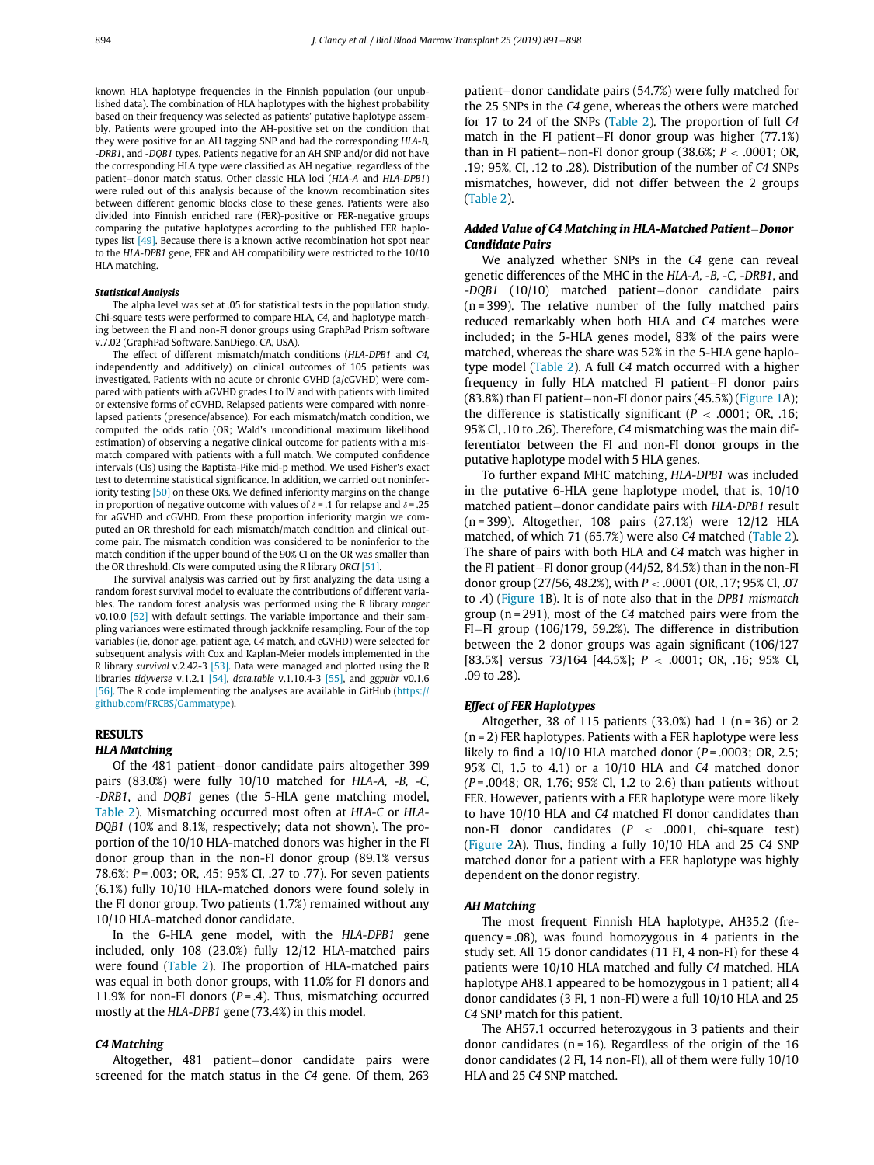known HLA haplotype frequencies in the Finnish population (our unpublished data). The combination of HLA haplotypes with the highest probability based on their frequency was selected as patients' putative haplotype assembly. Patients were grouped into the AH-positive set on the condition that they were positive for an AH tagging SNP and had the corresponding HLA-B, -DRB1, and -DQB1 types. Patients negative for an AH SNP and/or did not have the corresponding HLA type were classified as AH negative, regardless of the patient-donor match status. Other classic HLA loci (HLA-A and HLA-DPB1) were ruled out of this analysis because of the known recombination sites between different genomic blocks close to these genes. Patients were also divided into Finnish enriched rare (FER)-positive or FER-negative groups comparing the putative haplotypes according to the published FER haplo-types list [\[49\].](#page-7-0) Because there is a known active recombination hot spot near to the HLA-DPB1 gene, FER and AH compatibility were restricted to the 10/10 HLA matching.

#### Statistical Analysis

The alpha level was set at .05 for statistical tests in the population study. Chi-square tests were performed to compare HLA, C4, and haplotype matching between the FI and non-FI donor groups using GraphPad Prism software v.7.02 (GraphPad Software, SanDiego, CA, USA).

The effect of different mismatch/match conditions (HLA-DPB1 and C4, independently and additively) on clinical outcomes of 105 patients was investigated. Patients with no acute or chronic GVHD (a/cGVHD) were compared with patients with aGVHD grades I to IV and with patients with limited or extensive forms of cGVHD. Relapsed patients were compared with nonrelapsed patients (presence/absence). For each mismatch/match condition, we computed the odds ratio (OR; Wald's unconditional maximum likelihood estimation) of observing a negative clinical outcome for patients with a mismatch compared with patients with a full match. We computed confidence intervals (CIs) using the Baptista-Pike mid-p method. We used Fisher's exact test to determine statistical significance. In addition, we carried out noninfer-iority testing <a>[\[50\]](#page-7-1)</a> on these ORs. We defined inferiority margins on the change in proportion of negative outcome with values of  $\delta$  = .1 for relapse and  $\delta$  = .25 for aGVHD and cGVHD. From these proportion inferiority margin we computed an OR threshold for each mismatch/match condition and clinical outcome pair. The mismatch condition was considered to be noninferior to the match condition if the upper bound of the 90% CI on the OR was smaller than the OR threshold. CIs were computed using the R library ORCI [\[51\].](#page-7-2)

The survival analysis was carried out by first analyzing the data using a random forest survival model to evaluate the contributions of different variables. The random forest analysis was performed using the R library ranger v0.10.0 [\[52\]](#page-7-3) with default settings. The variable importance and their sampling variances were estimated through jackknife resampling. Four of the top variables (ie, donor age, patient age, C4 match, and cGVHD) were selected for subsequent analysis with Cox and Kaplan-Meier models implemented in the R library survival v.2.42-3 [\[53\]](#page-7-4). Data were managed and plotted using the R libraries tidyverse v.1.2.1 [\[54\],](#page-7-5) data.table v.1.10.4-3 [\[55\]](#page-7-6), and ggpubr v0.1.6 [\[56\].](#page-7-7) The R code implementing the analyses are available in GitHub ([https://](https://github.com/FRCBS/Gammatype) [github.com/FRCBS/Gammatype\)](https://github.com/FRCBS/Gammatype).

## **RESULTS**

## HLA Matching

Of the 481 patient-donor candidate pairs altogether 399 pairs (83.0%) were fully 10/10 matched for HLA-A, -B, -C, -DRB1, and DQB1 genes (the 5-HLA gene matching model, [Table 2\)](#page-2-0). Mismatching occurred most often at HLA-C or HLA-DQB1 (10% and 8.1%, respectively; data not shown). The proportion of the 10/10 HLA-matched donors was higher in the FI donor group than in the non-FI donor group (89.1% versus 78.6%; P = .003; OR, .45; 95% CI, .27 to .77). For seven patients (6.1%) fully 10/10 HLA-matched donors were found solely in the FI donor group. Two patients (1.7%) remained without any 10/10 HLA-matched donor candidate.

In the 6-HLA gene model, with the HLA-DPB1 gene included, only 108 (23.0%) fully 12/12 HLA-matched pairs were found [\(Table 2\)](#page-2-0). The proportion of HLA-matched pairs was equal in both donor groups, with 11.0% for FI donors and 11.9% for non-FI donors ( $P = .4$ ). Thus, mismatching occurred mostly at the HLA-DPB1 gene (73.4%) in this model.

# C4 Matching

Altogether, 481 patient-donor candidate pairs were screened for the match status in the C4 gene. Of them, 263 patient-donor candidate pairs (54.7%) were fully matched for the 25 SNPs in the C4 gene, whereas the others were matched for 17 to 24 of the SNPs ([Table 2](#page-2-0)). The proportion of full C4 match in the FI patient-FI donor group was higher  $(77.1%)$ than in FI patient-non-FI donor group (38.6%;  $P < .0001$ ; OR, .19; 95%, CI, .12 to .28). Distribution of the number of C4 SNPs mismatches, however, did not differ between the 2 groups ([Table 2\)](#page-2-0).

## Added Value of C4 Matching in HLA-Matched Patient-Donor Candidate Pairs

We analyzed whether SNPs in the C4 gene can reveal genetic differences of the MHC in the HLA-A, -B, -C, -DRB1, and  $-DQB1$  (10/10) matched patient-donor candidate pairs  $(n = 399)$ . The relative number of the fully matched pairs reduced remarkably when both HLA and C4 matches were included; in the 5-HLA genes model, 83% of the pairs were matched, whereas the share was 52% in the 5-HLA gene haplotype model [\(Table 2](#page-2-0)). A full C4 match occurred with a higher frequency in fully HLA matched FI patient $-FI$  donor pairs  $(83.8\%)$  than FI patient-non-FI donor pairs  $(45.5\%)$  ([Figure 1](#page-4-0)A); the difference is statistically significant ( $P < .0001$ ; OR, .16; 95% Cl, .10 to .26). Therefore, C4 mismatching was the main differentiator between the FI and non-FI donor groups in the putative haplotype model with 5 HLA genes.

To further expand MHC matching, HLA-DPB1 was included in the putative 6-HLA gene haplotype model, that is, 10/10 matched patient-donor candidate pairs with HLA-DPB1 result (n = 399). Altogether, 108 pairs (27.1%) were 12/12 HLA matched, of which 71 (65.7%) were also C4 matched ([Table 2](#page-2-0)). The share of pairs with both HLA and C4 match was higher in the FI patient-FI donor group  $(44/52, 84.5%)$  than in the non-FI donor group (27/56, 48.2%), with P < .0001 (OR, .17; 95% Cl, .07 to .4) ([Figure 1B](#page-4-0)). It is of note also that in the DPB1 mismatch group ( $n = 291$ ), most of the C4 matched pairs were from the FI-FI group (106/179, 59.2%). The difference in distribution between the 2 donor groups was again significant (106/127 [83.5%] versus 73/164 [44.5%]; P < .0001; OR, .16; 95% Cl, .09 to .28).

## Effect of FER Haplotypes

Altogether, 38 of 115 patients  $(33.0%)$  had 1 (n = 36) or 2 (n = 2) FER haplotypes. Patients with a FER haplotype were less likely to find a 10/10 HLA matched donor ( $P = .0003$ ; OR, 2.5; 95% Cl, 1.5 to 4.1) or a 10/10 HLA and C4 matched donor  $(P=.0048; OR, 1.76; 95% Cl, 1.2 to 2.6)$  than patients without FER. However, patients with a FER haplotype were more likely to have 10/10 HLA and C4 matched FI donor candidates than non-FI donor candidates ( $P < .0001$ , chi-square test) ([Figure 2](#page-4-1)A). Thus, finding a fully 10/10 HLA and 25 C4 SNP matched donor for a patient with a FER haplotype was highly dependent on the donor registry.

#### AH Matching

The most frequent Finnish HLA haplotype, AH35.2 (frequency = .08), was found homozygous in 4 patients in the study set. All 15 donor candidates (11 FI, 4 non-FI) for these 4 patients were 10/10 HLA matched and fully C4 matched. HLA haplotype AH8.1 appeared to be homozygous in 1 patient; all 4 donor candidates (3 FI, 1 non-FI) were a full 10/10 HLA and 25 C4 SNP match for this patient.

The AH57.1 occurred heterozygous in 3 patients and their donor candidates ( $n = 16$ ). Regardless of the origin of the 16 donor candidates (2 FI, 14 non-FI), all of them were fully 10/10 HLA and 25 C4 SNP matched.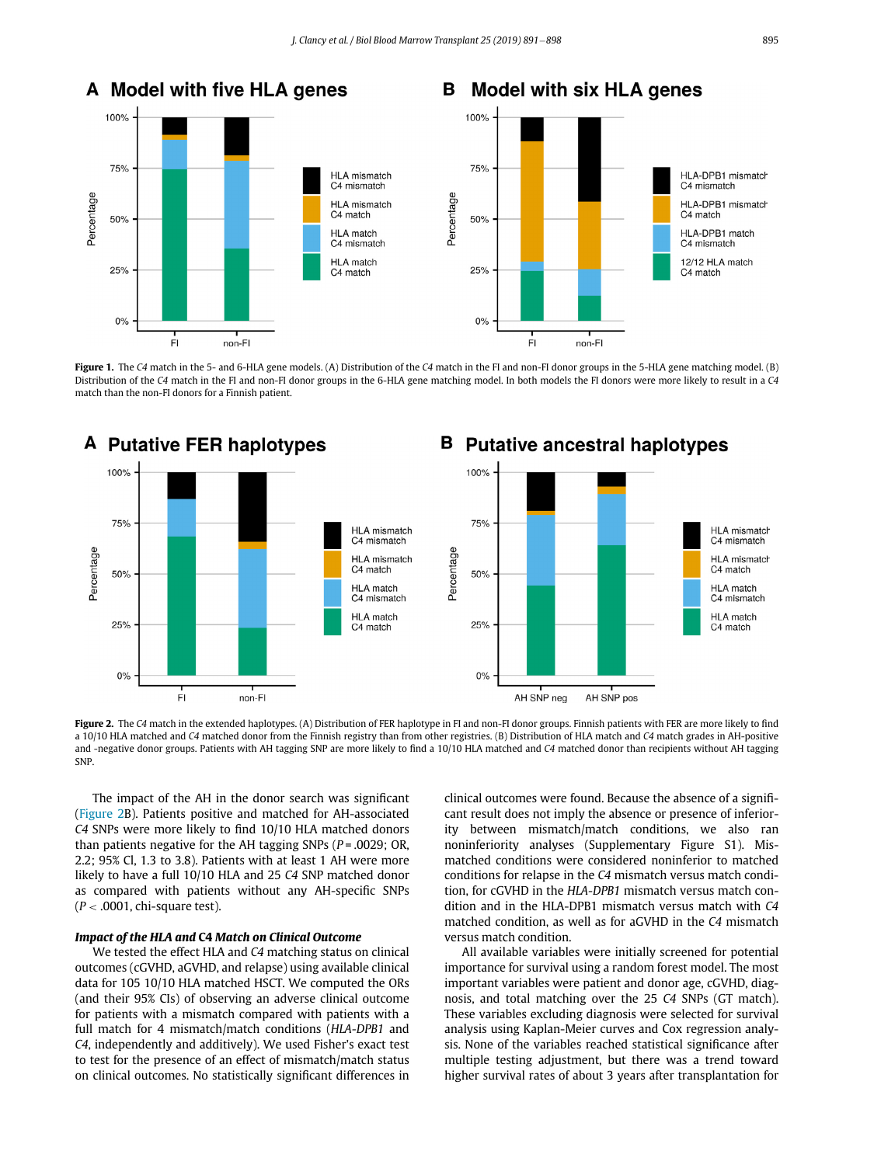<span id="page-4-0"></span>

Figure 1. The C4 match in the 5- and 6-HLA gene models. (A) Distribution of the C4 match in the FI and non-FI donor groups in the 5-HLA gene matching model. (B) Distribution of the C4 match in the FI and non-FI donor groups in the 6-HLA gene matching model. In both models the FI donors were more likely to result in a C4 match than the non-FI donors for a Finnish patient.

<span id="page-4-1"></span>

#### Figure 2. The C4 match in the extended haplotypes. (A) Distribution of FER haplotype in FI and non-FI donor groups. Finnish patients with FER are more likely to find a 10/10 HLA matched and C4 matched donor from the Finnish registry than from other registries. (B) Distribution of HLA match and C4 match grades in AH-positive and -negative donor groups. Patients with AH tagging SNP are more likely to find a 10/10 HLA matched and C4 matched donor than recipients without AH tagging SNP.

The impact of the AH in the donor search was significant ([Figure 2](#page-4-1)B). Patients positive and matched for AH-associated C4 SNPs were more likely to find 10/10 HLA matched donors than patients negative for the AH tagging SNPs ( $P = .0029$ ; OR, 2.2; 95% Cl, 1.3 to 3.8). Patients with at least 1 AH were more likely to have a full 10/10 HLA and 25 C4 SNP matched donor as compared with patients without any AH-specific SNPs  $(P < .0001,$  chi-square test).

# Impact of the HLA and C4 Match on Clinical Outcome

We tested the effect HLA and C4 matching status on clinical outcomes (cGVHD, aGVHD, and relapse) using available clinical data for 105 10/10 HLA matched HSCT. We computed the ORs (and their 95% CIs) of observing an adverse clinical outcome for patients with a mismatch compared with patients with a full match for 4 mismatch/match conditions (HLA-DPB1 and C4, independently and additively). We used Fisher's exact test to test for the presence of an effect of mismatch/match status on clinical outcomes. No statistically significant differences in

clinical outcomes were found. Because the absence of a significant result does not imply the absence or presence of inferiority between mismatch/match conditions, we also ran noninferiority analyses (Supplementary Figure S1). Mismatched conditions were considered noninferior to matched conditions for relapse in the C4 mismatch versus match condition, for cGVHD in the HLA-DPB1 mismatch versus match condition and in the HLA-DPB1 mismatch versus match with C4 matched condition, as well as for aGVHD in the C4 mismatch versus match condition.

All available variables were initially screened for potential importance for survival using a random forest model. The most important variables were patient and donor age, cGVHD, diagnosis, and total matching over the 25 C4 SNPs (GT match). These variables excluding diagnosis were selected for survival analysis using Kaplan-Meier curves and Cox regression analysis. None of the variables reached statistical significance after multiple testing adjustment, but there was a trend toward higher survival rates of about 3 years after transplantation for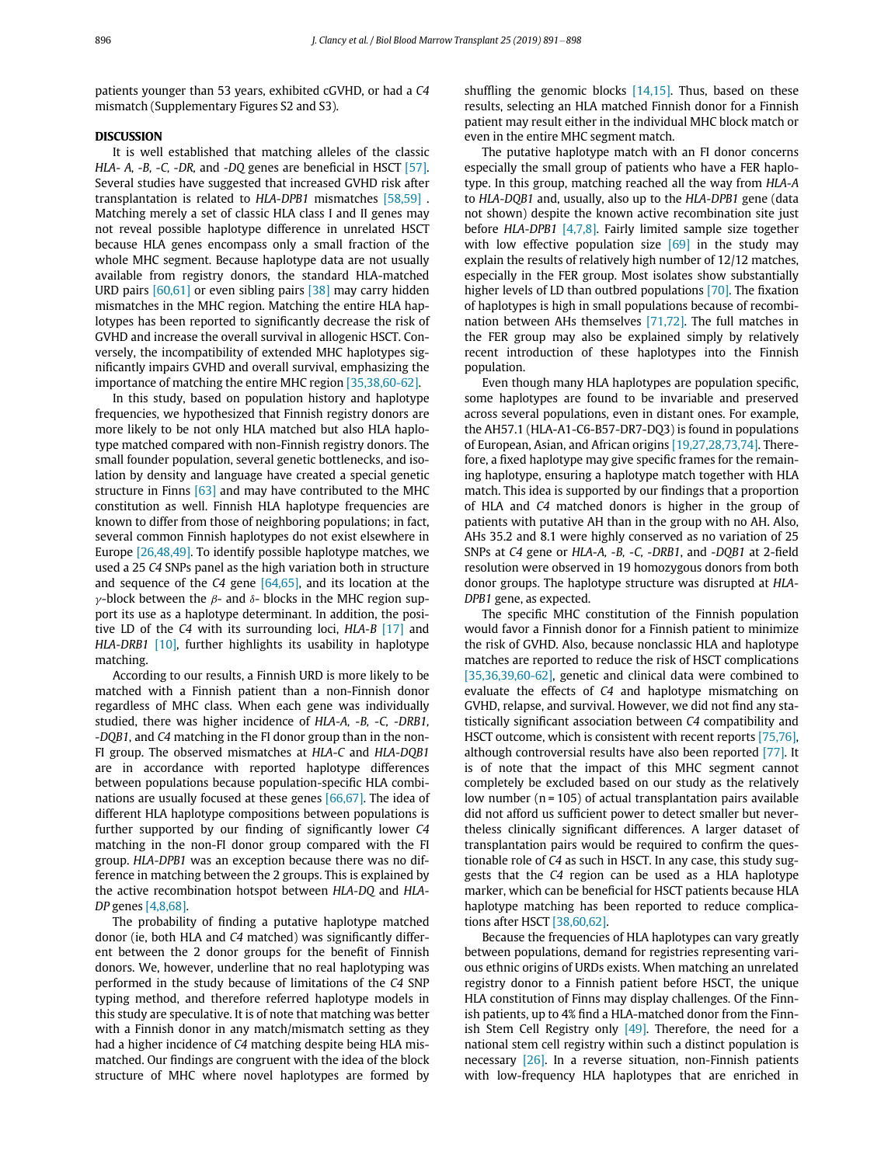patients younger than 53 years, exhibited cGVHD, or had a C4 mismatch (Supplementary Figures S2 and S3).

# **DISCUSSION**

It is well established that matching alleles of the classic HLA- A, -B, -C, -DR, and -DQ genes are beneficial in HSCT [\[57\].](#page-7-8) Several studies have suggested that increased GVHD risk after transplantation is related to HLA-DPB1 mismatches [\[58,59\]](#page-7-9) . Matching merely a set of classic HLA class I and II genes may not reveal possible haplotype difference in unrelated HSCT because HLA genes encompass only a small fraction of the whole MHC segment. Because haplotype data are not usually available from registry donors, the standard HLA-matched URD pairs [\[60,61\]](#page-7-10) or even sibling pairs [\[38\]](#page-6-14) may carry hidden mismatches in the MHC region. Matching the entire HLA haplotypes has been reported to significantly decrease the risk of GVHD and increase the overall survival in allogenic HSCT. Conversely, the incompatibility of extended MHC haplotypes significantly impairs GVHD and overall survival, emphasizing the importance of matching the entire MHC region [\[35,38,60-62\]](#page-6-15).

In this study, based on population history and haplotype frequencies, we hypothesized that Finnish registry donors are more likely to be not only HLA matched but also HLA haplotype matched compared with non-Finnish registry donors. The small founder population, several genetic bottlenecks, and isolation by density and language have created a special genetic structure in Finns [\[63\]](#page-7-11) and may have contributed to the MHC constitution as well. Finnish HLA haplotype frequencies are known to differ from those of neighboring populations; in fact, several common Finnish haplotypes do not exist elsewhere in Europe [\[26,48,49\]](#page-6-13). To identify possible haplotype matches, we used a 25 C4 SNPs panel as the high variation both in structure and sequence of the  $C4$  gene  $[64,65]$ , and its location at the  $\gamma$ -block between the  $\beta$ - and  $\delta$ - blocks in the MHC region support its use as a haplotype determinant. In addition, the positive LD of the C4 with its surrounding loci, HLA-B [\[17\]](#page-6-16) and HLA-DRB1 [\[10\],](#page-6-5) further highlights its usability in haplotype matching.

According to our results, a Finnish URD is more likely to be matched with a Finnish patient than a non-Finnish donor regardless of MHC class. When each gene was individually studied, there was higher incidence of HLA-A, -B, -C, -DRB1, -DQB1, and C4 matching in the FI donor group than in the non-FI group. The observed mismatches at HLA-C and HLA-DQB1 are in accordance with reported haplotype differences between populations because population-specific HLA combinations are usually focused at these genes [\[66,67\].](#page-7-13) The idea of different HLA haplotype compositions between populations is further supported by our finding of significantly lower C4 matching in the non-FI donor group compared with the FI group. HLA-DPB1 was an exception because there was no difference in matching between the 2 groups. This is explained by the active recombination hotspot between HLA-DQ and HLA-DP genes [\[4,8,68\]](#page-6-2).

The probability of finding a putative haplotype matched donor (ie, both HLA and C4 matched) was significantly different between the 2 donor groups for the benefit of Finnish donors. We, however, underline that no real haplotyping was performed in the study because of limitations of the C4 SNP typing method, and therefore referred haplotype models in this study are speculative. It is of note that matching was better with a Finnish donor in any match/mismatch setting as they had a higher incidence of C4 matching despite being HLA mismatched. Our findings are congruent with the idea of the block structure of MHC where novel haplotypes are formed by shuffling the genomic blocks [\[14,15\].](#page-6-17) Thus, based on these results, selecting an HLA matched Finnish donor for a Finnish patient may result either in the individual MHC block match or even in the entire MHC segment match.

The putative haplotype match with an FI donor concerns especially the small group of patients who have a FER haplotype. In this group, matching reached all the way from HLA-A to HLA-DQB1 and, usually, also up to the HLA-DPB1 gene (data not shown) despite the known active recombination site just before HLA-DPB1 [\[4,7,8\]](#page-6-2). Fairly limited sample size together with low effective population size  $[69]$  in the study may explain the results of relatively high number of 12/12 matches, especially in the FER group. Most isolates show substantially higher levels of LD than outbred populations [\[70\]](#page-7-15). The fixation of haplotypes is high in small populations because of recombination between AHs themselves [\[71,72\].](#page-7-16) The full matches in the FER group may also be explained simply by relatively recent introduction of these haplotypes into the Finnish population.

Even though many HLA haplotypes are population specific, some haplotypes are found to be invariable and preserved across several populations, even in distant ones. For example, the AH57.1 (HLA-A1-C6-B57-DR7-DQ3) is found in populations of European, Asian, and African origins [\[19,27,28,73,74\]](#page-6-18). Therefore, a fixed haplotype may give specific frames for the remaining haplotype, ensuring a haplotype match together with HLA match. This idea is supported by our findings that a proportion of HLA and C4 matched donors is higher in the group of patients with putative AH than in the group with no AH. Also, AHs 35.2 and 8.1 were highly conserved as no variation of 25 SNPs at C4 gene or HLA-A, -B, -C, -DRB1, and -DQB1 at 2-field resolution were observed in 19 homozygous donors from both donor groups. The haplotype structure was disrupted at HLA-DPB1 gene, as expected.

The specific MHC constitution of the Finnish population would favor a Finnish donor for a Finnish patient to minimize the risk of GVHD. Also, because nonclassic HLA and haplotype matches are reported to reduce the risk of HSCT complications [\[35,36,39,60-62\],](#page-6-15) genetic and clinical data were combined to evaluate the effects of C4 and haplotype mismatching on GVHD, relapse, and survival. However, we did not find any statistically significant association between C4 compatibility and HSCT outcome, which is consistent with recent reports [\[75,76\]](#page-7-17), although controversial results have also been reported [\[77\]](#page-7-18). It is of note that the impact of this MHC segment cannot completely be excluded based on our study as the relatively low number  $(n = 105)$  of actual transplantation pairs available did not afford us sufficient power to detect smaller but nevertheless clinically significant differences. A larger dataset of transplantation pairs would be required to confirm the questionable role of C4 as such in HSCT. In any case, this study suggests that the C4 region can be used as a HLA haplotype marker, which can be beneficial for HSCT patients because HLA haplotype matching has been reported to reduce complications after HSCT [\[38,60,62\].](#page-6-14)

Because the frequencies of HLA haplotypes can vary greatly between populations, demand for registries representing various ethnic origins of URDs exists. When matching an unrelated registry donor to a Finnish patient before HSCT, the unique HLA constitution of Finns may display challenges. Of the Finnish patients, up to 4% find a HLA-matched donor from the Finnish Stem Cell Registry only  $[49]$ . Therefore, the need for a national stem cell registry within such a distinct population is necessary [\[26\]](#page-6-13). In a reverse situation, non-Finnish patients with low-frequency HLA haplotypes that are enriched in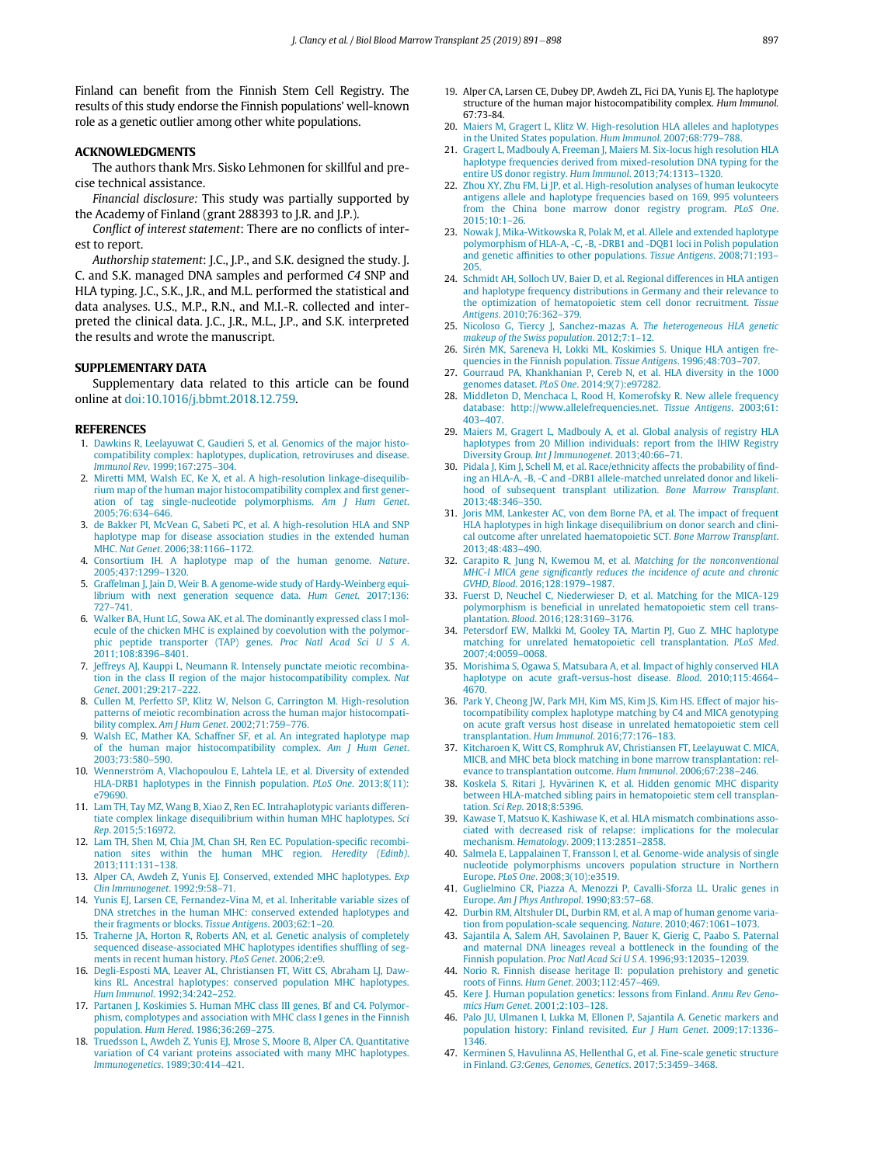<span id="page-6-18"></span>Finland can benefit from the Finnish Stem Cell Registry. The results of this study endorse the Finnish populations' well-known role as a genetic outlier among other white populations.

## <span id="page-6-6"></span>ACKNOWLEDGMENTS

The authors thank Mrs. Sisko Lehmonen for skillful and precise technical assistance.

Financial disclosure: This study was partially supported by the Academy of Finland (grant 288393 to J.R. and J.P.).

<span id="page-6-7"></span>Conflict of interest statement: There are no conflicts of interest to report.

Authorship statement: J.C., J.P., and S.K. designed the study. J. C. and S.K. managed DNA samples and performed C4 SNP and HLA typing. J.C., S.K., J.R., and M.L. performed the statistical and data analyses. U.S., M.P., R.N., and M.I.-R. collected and interpreted the clinical data. J.C., J.R., M.L., J.P., and S.K. interpreted the results and wrote the manuscript.

### <span id="page-6-13"></span><span id="page-6-8"></span>SUPPLEMENTARY DATA

Supplementary data related to this article can be found online at [doi:10.1016/j.bbmt.2018.12.759.](https://doi.org/10.1016/j.bbmt.2018.12.759)

### <span id="page-6-0"></span>**REFERENCES**

- 1. [Dawkins R, Leelayuwat C, Gaudieri S, et al. Genomics of the major histo](http://refhub.elsevier.com/S1083-8791(18)31692-6/sbref0001)[compatibility complex: haplotypes, duplication, retroviruses and disease.](http://refhub.elsevier.com/S1083-8791(18)31692-6/sbref0001) Immunol Rev[. 1999;167:275](http://refhub.elsevier.com/S1083-8791(18)31692-6/sbref0001)–304.
- 2. [Miretti MM, Walsh EC, Ke X, et al. A high-resolution linkage-disequilib](http://refhub.elsevier.com/S1083-8791(18)31692-6/sbref0002)[rium map of the human major histocompatibility complex and](http://refhub.elsevier.com/S1083-8791(18)31692-6/sbref0002) first gener[ation of tag single-nucleotide polymorphisms.](http://refhub.elsevier.com/S1083-8791(18)31692-6/sbref0002) Am J Hum Genet. [2005;76:634](http://refhub.elsevier.com/S1083-8791(18)31692-6/sbref0002)–646.
- <span id="page-6-10"></span>3. [de Bakker PI, McVean G, Sabeti PC, et al. A high-resolution HLA and SNP](http://refhub.elsevier.com/S1083-8791(18)31692-6/sbref0003) [haplotype map for disease association studies in the extended human](http://refhub.elsevier.com/S1083-8791(18)31692-6/sbref0003) MHC. Nat Genet[. 2006;38:1166](http://refhub.elsevier.com/S1083-8791(18)31692-6/sbref0003)–1172.
- <span id="page-6-9"></span><span id="page-6-2"></span>4. [Consortium IH. A haplotype map of the human genome.](http://refhub.elsevier.com/S1083-8791(18)31692-6/sbref0004) Nature. [2005;437:1299](http://refhub.elsevier.com/S1083-8791(18)31692-6/sbref0004)–1320.
- 5. [Graffelman J, Jain D, Weir B. A genome-wide study of Hardy-Weinberg equi](http://refhub.elsevier.com/S1083-8791(18)31692-6/sbref0005)[librium with next generation sequence data.](http://refhub.elsevier.com/S1083-8791(18)31692-6/sbref0005) Hum Genet. 2017;136: 727–[741.](http://refhub.elsevier.com/S1083-8791(18)31692-6/sbref0005)
- <span id="page-6-1"></span>6. [Walker BA, Hunt LG, Sowa AK, et al. The dominantly expressed class I mol](http://refhub.elsevier.com/S1083-8791(18)31692-6/sbref0006)[ecule of the chicken MHC is explained by coevolution with the polymor](http://refhub.elsevier.com/S1083-8791(18)31692-6/sbref0006)[phic peptide transporter \(TAP\) genes.](http://refhub.elsevier.com/S1083-8791(18)31692-6/sbref0006) Proc Natl Acad Sci U S A. [2011;108:8396](http://refhub.elsevier.com/S1083-8791(18)31692-6/sbref0006)–8401.
- <span id="page-6-15"></span>7. [Jeffreys AJ, Kauppi L, Neumann R. Intensely punctate meiotic recombina](http://refhub.elsevier.com/S1083-8791(18)31692-6/sbref0007)[tion in the class II region of the major histocompatibility complex.](http://refhub.elsevier.com/S1083-8791(18)31692-6/sbref0007) Nat Genet[. 2001;29:217](http://refhub.elsevier.com/S1083-8791(18)31692-6/sbref0007)–222.
- 8. [Cullen M, Perfetto SP, Klitz W, Nelson G, Carrington M. High-resolution](http://refhub.elsevier.com/S1083-8791(18)31692-6/sbref0008) [patterns of meiotic recombination across the human major histocompati](http://refhub.elsevier.com/S1083-8791(18)31692-6/sbref0008)bility complex. [Am J Hum Genet](http://refhub.elsevier.com/S1083-8791(18)31692-6/sbref0008). 2002;71:759–776.
- <span id="page-6-3"></span>9. [Walsh EC, Mather KA, Schaffner SF, et al. An integrated haplotype map](http://refhub.elsevier.com/S1083-8791(18)31692-6/sbref0009) [of the human major histocompatibility complex.](http://refhub.elsevier.com/S1083-8791(18)31692-6/sbref0009) Am J Hum Genet. [2003;73:580](http://refhub.elsevier.com/S1083-8791(18)31692-6/sbref0009)–590.
- <span id="page-6-14"></span><span id="page-6-5"></span>10. [Wennerstr](http://refhub.elsevier.com/S1083-8791(18)31692-6/sbref0010)ö[m A, Vlachopoulou E, Lahtela LE, et al. Diversity of extended](http://refhub.elsevier.com/S1083-8791(18)31692-6/sbref0010) [HLA-DRB1 haplotypes in the Finnish population.](http://refhub.elsevier.com/S1083-8791(18)31692-6/sbref0010) PLoS One. 2013;8(11): [e79690.](http://refhub.elsevier.com/S1083-8791(18)31692-6/sbref0010)
- 11. [Lam TH, Tay MZ, Wang B, Xiao Z, Ren EC. Intrahaplotypic variants differen](http://refhub.elsevier.com/S1083-8791(18)31692-6/sbref0011)[tiate complex linkage disequilibrium within human MHC haplotypes.](http://refhub.elsevier.com/S1083-8791(18)31692-6/sbref0011) Sci Rep[. 2015;5:16972.](http://refhub.elsevier.com/S1083-8791(18)31692-6/sbref0011)
- <span id="page-6-11"></span>12. [Lam TH, Shen M, Chia JM, Chan SH, Ren EC. Population-speci](http://refhub.elsevier.com/S1083-8791(18)31692-6/sbref0012)fic recombi[nation sites within the human MHC region.](http://refhub.elsevier.com/S1083-8791(18)31692-6/sbref0012) Heredity (Edinb). [2013;111:131](http://refhub.elsevier.com/S1083-8791(18)31692-6/sbref0012)–138.
- <span id="page-6-4"></span>13. [Alper CA, Awdeh Z, Yunis EJ. Conserved, extended MHC haplotypes.](http://refhub.elsevier.com/S1083-8791(18)31692-6/sbref0013) Exp [Clin Immunogenet](http://refhub.elsevier.com/S1083-8791(18)31692-6/sbref0013). 1992;9:58–71.
- <span id="page-6-17"></span>14. [Yunis EJ, Larsen CE, Fernandez-Vina M, et al. Inheritable variable sizes of](http://refhub.elsevier.com/S1083-8791(18)31692-6/sbref0014) [DNA stretches in the human MHC: conserved extended haplotypes and](http://refhub.elsevier.com/S1083-8791(18)31692-6/sbref0014) [their fragments or blocks.](http://refhub.elsevier.com/S1083-8791(18)31692-6/sbref0014) Tissue Antigens. 2003;62:1–20.
- <span id="page-6-12"></span>15. [Traherne JA, Horton R, Roberts AN, et al. Genetic analysis of completely](http://refhub.elsevier.com/S1083-8791(18)31692-6/sbref0015) [sequenced disease-associated MHC haplotypes identi](http://refhub.elsevier.com/S1083-8791(18)31692-6/sbref0015)fies shuffling of seg[ments in recent human history.](http://refhub.elsevier.com/S1083-8791(18)31692-6/sbref0015) PLoS Genet. 2006;2:e9.
- 16. [Degli-Esposti MA, Leaver AL, Christiansen FT, Witt CS, Abraham LJ, Daw](http://refhub.elsevier.com/S1083-8791(18)31692-6/sbref0016)[kins RL. Ancestral haplotypes: conserved population MHC haplotypes.](http://refhub.elsevier.com/S1083-8791(18)31692-6/sbref0016) Hum Immunol[. 1992;34:242](http://refhub.elsevier.com/S1083-8791(18)31692-6/sbref0016)–252.
- <span id="page-6-16"></span>17. [Partanen J, Koskimies S. Human MHC class III genes, Bf and C4. Polymor](http://refhub.elsevier.com/S1083-8791(18)31692-6/sbref0017)[phism, complotypes and association with MHC class I genes in the Finnish](http://refhub.elsevier.com/S1083-8791(18)31692-6/sbref0017) population. Hum Hered[. 1986;36:269](http://refhub.elsevier.com/S1083-8791(18)31692-6/sbref0017)–275.
- 18. [Truedsson L, Awdeh Z, Yunis EJ, Mrose S, Moore B, Alper CA. Quantitative](http://refhub.elsevier.com/S1083-8791(18)31692-6/sbref0018) [variation of C4 variant proteins associated with many MHC haplotypes.](http://refhub.elsevier.com/S1083-8791(18)31692-6/sbref0018) [Immunogenetics](http://refhub.elsevier.com/S1083-8791(18)31692-6/sbref0018). 1989;30:414–421.
- 19. Alper CA, Larsen CE, Dubey DP, Awdeh ZL, Fici DA, Yunis EJ. The haplotype structure of the human major histocompatibility complex. Hum Immunol. 67:73-84.
- 20. [Maiers M, Gragert L, Klitz W. High-resolution HLA alleles and haplotypes](http://refhub.elsevier.com/S1083-8791(18)31692-6/sbref0019) [in the United States population.](http://refhub.elsevier.com/S1083-8791(18)31692-6/sbref0019) Hum Immunol. 2007;68:779–788.
- 21. [Gragert L, Madbouly A, Freeman J, Maiers M. Six-locus high resolution HLA](http://refhub.elsevier.com/S1083-8791(18)31692-6/sbref0020) [haplotype frequencies derived from mixed-resolution DNA typing for the](http://refhub.elsevier.com/S1083-8791(18)31692-6/sbref0020) [entire US donor registry.](http://refhub.elsevier.com/S1083-8791(18)31692-6/sbref0020) Hum Immunol. 2013;74:1313–1320.
- 22. [Zhou XY, Zhu FM, Li JP, et al. High-resolution analyses of human leukocyte](http://refhub.elsevier.com/S1083-8791(18)31692-6/sbref0021) [antigens allele and haplotype frequencies based on 169, 995 volunteers](http://refhub.elsevier.com/S1083-8791(18)31692-6/sbref0021) [from the China bone marrow donor registry program.](http://refhub.elsevier.com/S1083-8791(18)31692-6/sbref0021) PLoS One. [2015;10:1](http://refhub.elsevier.com/S1083-8791(18)31692-6/sbref0021)–26.
- 23. [Nowak J, Mika-Witkowska R, Polak M, et al. Allele and extended haplotype](http://refhub.elsevier.com/S1083-8791(18)31692-6/sbref0022) [polymorphism of HLA-A, -C, -B, -DRB1 and -DQB1 loci in Polish population](http://refhub.elsevier.com/S1083-8791(18)31692-6/sbref0022) and genetic affi[nities to other populations.](http://refhub.elsevier.com/S1083-8791(18)31692-6/sbref0022) Tissue Antigens. 2008;71:193– [205.](http://refhub.elsevier.com/S1083-8791(18)31692-6/sbref0022)
- 24. [Schmidt AH, Solloch UV, Baier D, et al. Regional differences in HLA antigen](http://refhub.elsevier.com/S1083-8791(18)31692-6/sbref0023) [and haplotype frequency distributions in Germany and their relevance to](http://refhub.elsevier.com/S1083-8791(18)31692-6/sbref0023) [the optimization of hematopoietic stem cell donor recruitment.](http://refhub.elsevier.com/S1083-8791(18)31692-6/sbref0023) Tissue Antigens[. 2010;76:362](http://refhub.elsevier.com/S1083-8791(18)31692-6/sbref0023)–379.
- 25. [Nicoloso G, Tiercy J, Sanchez-mazas A.](http://refhub.elsevier.com/S1083-8791(18)31692-6/sbref0024) The heterogeneous HLA genetic [makeup of the Swiss population](http://refhub.elsevier.com/S1083-8791(18)31692-6/sbref0024). 2012;7:1–12.
- 26. Sirén MK, Sareneva H, Lokki ML, Koskimies S. Unique HLA antigen fre[quencies in the Finnish population.](http://refhub.elsevier.com/S1083-8791(18)31692-6/sbref0025) Tissue Antigens. 1996;48:703-707.
- 27. [Gourraud PA, Khankhanian P, Cereb N, et al. HLA diversity in the 1000](http://refhub.elsevier.com/S1083-8791(18)31692-6/sbref0026) genomes dataset. PLoS One[. 2014;9\(7\):e97282.](http://refhub.elsevier.com/S1083-8791(18)31692-6/sbref0026)
- 28. [Middleton D, Menchaca L, Rood H, Komerofsky R. New allele frequency](http://refhub.elsevier.com/S1083-8791(18)31692-6/sbref0027) [database: http://www.allelefrequencies.net.](http://refhub.elsevier.com/S1083-8791(18)31692-6/sbref0027) Tissue Antigens. 2003;61: 403–[407.](http://refhub.elsevier.com/S1083-8791(18)31692-6/sbref0027)
- 29. [Maiers M, Gragert L, Madbouly A, et al. Global analysis of registry HLA](http://refhub.elsevier.com/S1083-8791(18)31692-6/sbref0028) [haplotypes from 20 Million individuals: report from the IHIW Registry](http://refhub.elsevier.com/S1083-8791(18)31692-6/sbref0028) Diversity Group. [Int J Immunogenet](http://refhub.elsevier.com/S1083-8791(18)31692-6/sbref0028). 2013;40:66–71.
- 30. [Pidala J, Kim J, Schell M, et al. Race/ethnicity affects the probability of](http://refhub.elsevier.com/S1083-8791(18)31692-6/sbref0029) find[ing an HLA-A, -B, -C and -DRB1 allele-matched unrelated donor and likeli](http://refhub.elsevier.com/S1083-8791(18)31692-6/sbref0029)[hood of subsequent transplant utilization.](http://refhub.elsevier.com/S1083-8791(18)31692-6/sbref0029) Bone Marrow Transplant. [2013;48:346](http://refhub.elsevier.com/S1083-8791(18)31692-6/sbref0029)–350.
- 31. [Joris MM, Lankester AC, von dem Borne PA, et al. The impact of frequent](http://refhub.elsevier.com/S1083-8791(18)31692-6/sbref0030) [HLA haplotypes in high linkage disequilibrium on donor search and clini](http://refhub.elsevier.com/S1083-8791(18)31692-6/sbref0030)[cal outcome after unrelated haematopoietic SCT.](http://refhub.elsevier.com/S1083-8791(18)31692-6/sbref0030) Bone Marrow Transplant. [2013;48:483](http://refhub.elsevier.com/S1083-8791(18)31692-6/sbref0030)–490.
- 32. [Carapito R, Jung N, Kwemou M, et al.](http://refhub.elsevier.com/S1083-8791(18)31692-6/sbref0031) Matching for the nonconventional MHC-I MICA gene signifi[cantly reduces the incidence of acute and chronic](http://refhub.elsevier.com/S1083-8791(18)31692-6/sbref0031) GVHD, Blood[. 2016;128:1979](http://refhub.elsevier.com/S1083-8791(18)31692-6/sbref0031)–1987.
- 33. [Fuerst D, Neuchel C, Niederwieser D, et al. Matching for the MICA-129](http://refhub.elsevier.com/S1083-8791(18)31692-6/sbref0032) polymorphism is benefi[cial in unrelated hematopoietic stem cell trans](http://refhub.elsevier.com/S1083-8791(18)31692-6/sbref0032)plantation. Blood[. 2016;128:3169](http://refhub.elsevier.com/S1083-8791(18)31692-6/sbref0032)–3176.
- 34. [Petersdorf EW, Malkki M, Gooley TA, Martin PJ, Guo Z. MHC haplotype](http://refhub.elsevier.com/S1083-8791(18)31692-6/sbref0033) [matching for unrelated hematopoietic cell transplantation.](http://refhub.elsevier.com/S1083-8791(18)31692-6/sbref0033) PLoS Med. [2007;4:0059](http://refhub.elsevier.com/S1083-8791(18)31692-6/sbref0033)–0068.
- 35. [Morishima S, Ogawa S, Matsubara A, et al. Impact of highly conserved HLA](http://refhub.elsevier.com/S1083-8791(18)31692-6/sbref0034) [haplotype on acute graft-versus-host disease.](http://refhub.elsevier.com/S1083-8791(18)31692-6/sbref0034) Blood. 2010;115:4664– [4670.](http://refhub.elsevier.com/S1083-8791(18)31692-6/sbref0034)
- 36. [Park Y, Cheong JW, Park MH, Kim MS, Kim JS, Kim HS. Effect of major his](http://refhub.elsevier.com/S1083-8791(18)31692-6/sbref0035)[tocompatibility complex haplotype matching by C4 and MICA genotyping](http://refhub.elsevier.com/S1083-8791(18)31692-6/sbref0035) [on acute graft versus host disease in unrelated hematopoietic stem cell](http://refhub.elsevier.com/S1083-8791(18)31692-6/sbref0035) [transplantation.](http://refhub.elsevier.com/S1083-8791(18)31692-6/sbref0035) Hum Immunol. 2016;77:176–183.
- 37. [Kitcharoen K, Witt CS, Romphruk AV, Christiansen FT, Leelayuwat C. MICA,](http://refhub.elsevier.com/S1083-8791(18)31692-6/sbref0036) [MICB, and MHC beta block matching in bone marrow transplantation: rel](http://refhub.elsevier.com/S1083-8791(18)31692-6/sbref0036)[evance to transplantation outcome.](http://refhub.elsevier.com/S1083-8791(18)31692-6/sbref0036) Hum Immunol. 2006;67:238–246.
- 38. [Koskela S, Ritari J, Hyv](http://refhub.elsevier.com/S1083-8791(18)31692-6/sbref0080)ärinen K, et al. Hidden genomic MHC disparity [between HLA-matched sibling pairs in hematopoietic stem cell transplan](http://refhub.elsevier.com/S1083-8791(18)31692-6/sbref0080)tation. Sci Rep[. 2018;8:5396.](http://refhub.elsevier.com/S1083-8791(18)31692-6/sbref0080)
- 39. [Kawase T, Matsuo K, Kashiwase K, et al. HLA mismatch combinations asso](http://refhub.elsevier.com/S1083-8791(18)31692-6/sbref0037)[ciated with decreased risk of relapse: implications for the molecular](http://refhub.elsevier.com/S1083-8791(18)31692-6/sbref0037) mechanism. Hematology[. 2009;113:2851](http://refhub.elsevier.com/S1083-8791(18)31692-6/sbref0037)–2858.
- 40. [Salmela E, Lappalainen T, Fransson I, et al. Genome-wide analysis of single](http://refhub.elsevier.com/S1083-8791(18)31692-6/sbref0038) [nucleotide polymorphisms uncovers population structure in Northern](http://refhub.elsevier.com/S1083-8791(18)31692-6/sbref0038) Europe. PLoS One[. 2008;3\(10\):e3519.](http://refhub.elsevier.com/S1083-8791(18)31692-6/sbref0038)
- 41. [Guglielmino CR, Piazza A, Menozzi P, Cavalli-Sforza LL. Uralic genes in](http://refhub.elsevier.com/S1083-8791(18)31692-6/sbref0039) Europe. [Am J Phys Anthropol](http://refhub.elsevier.com/S1083-8791(18)31692-6/sbref0039). 1990;83:57–68.
- 42. [Durbin RM, Altshuler DL, Durbin RM, et al. A map of human genome varia](http://refhub.elsevier.com/S1083-8791(18)31692-6/sbref0040)[tion from population-scale sequencing.](http://refhub.elsevier.com/S1083-8791(18)31692-6/sbref0040) Nature. 2010;467:1061–1073.
- 43. [Sajantila A, Salem AH, Savolainen P, Bauer K, Gierig C, Paabo S. Paternal](http://refhub.elsevier.com/S1083-8791(18)31692-6/sbref0041) [and maternal DNA lineages reveal a bottleneck in the founding of the](http://refhub.elsevier.com/S1083-8791(18)31692-6/sbref0041) Finnish population. [Proc Natl Acad Sci U S A](http://refhub.elsevier.com/S1083-8791(18)31692-6/sbref0041). 1996;93:12035–12039.
- 44. [Norio R. Finnish disease heritage II: population prehistory and genetic](http://refhub.elsevier.com/S1083-8791(18)31692-6/sbref0042) roots of Finns. Hum Genet[. 2003;112:457](http://refhub.elsevier.com/S1083-8791(18)31692-6/sbref0042)–469.
- 45. [Kere J. Human population genetics: lessons from Finland.](http://refhub.elsevier.com/S1083-8791(18)31692-6/sbref0043) Annu Rev Geno[mics Hum Genet](http://refhub.elsevier.com/S1083-8791(18)31692-6/sbref0043). 2001;2:103–128.
- 46. [Palo JU, Ulmanen I, Lukka M, Ellonen P, Sajantila A. Genetic markers and](http://refhub.elsevier.com/S1083-8791(18)31692-6/sbref0044) [population history: Finland revisited.](http://refhub.elsevier.com/S1083-8791(18)31692-6/sbref0044) Eur J Hum Genet. 2009;17:1336– [1346.](http://refhub.elsevier.com/S1083-8791(18)31692-6/sbref0044)
- 47. [Kerminen S, Havulinna AS, Hellenthal G, et al. Fine-scale genetic structure](http://refhub.elsevier.com/S1083-8791(18)31692-6/sbref0045) in Finland. [G3:Genes, Genomes, Genetics](http://refhub.elsevier.com/S1083-8791(18)31692-6/sbref0045). 2017;5:3459–3468.